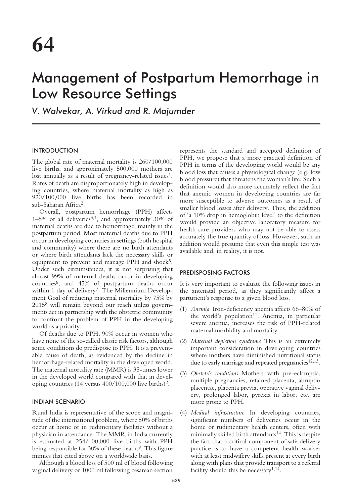# Management of Postpartum Hemorrhage in Low Resource Settings

*V. Walvekar, A. Virkud and R. Majumder*

# INTRODUCTION

The global rate of maternal mortality is 260/100,000 live births, and approximately 500,000 mothers are lost annually as a result of pregnancy-related issues<sup>1</sup>. Rates of death are disproportionately high in developing countries, where maternal mortality as high as 920/100,000 live births has been recorded in sub-Saharan Africa2.

Overall, postpartum hemorrhage (PPH) affects  $1-5\%$  of all deliveries<sup>3,4</sup>, and approximately 30% of maternal deaths are due to hemorrhage, mainly in the postpartum period. Most maternal deaths due to PPH occur in developing countries in settings (both hospital and community) where there are no birth attendants or where birth attendants lack the necessary skills or equipment to prevent and manage PPH and shock<sup>5</sup>. Under such circumstances, it is not surprising that almost 99% of maternal deaths occur in developing countries6, and 45% of postpartum deaths occur within 1 day of delivery<sup>7</sup>. The Millennium Development Goal of reducing maternal mortality by 75% by 20158 will remain beyond our reach unless governments act in partnership with the obstetric community to confront the problem of PPH in the developing world as a priority.

Of deaths due to PPH, 90% occur in women who have none of the so-called classic risk factors, although some conditions do predispose to PPH. It is a preventable cause of death, as evidenced by the decline in hemorrhage-related mortality in the developed world. The maternal mortality rate (MMR) is 35-times lower in the developed world compared with that in developing countries (14 versus 400/100,000 live births)2.

# INDIAN SCENARIO

Rural India is representative of the scope and magnitude of the international problem, where 50% of births occur at home or in rudimentary facilities without a physician in attendance. The MMR in India currently is estimated at 254/100,000 live births with PPH being responsible for 30% of these deaths<sup>9</sup>. This figure mimics that cited above on a worldwide basis.

Although a blood loss of 500 ml of blood following vaginal delivery or 1000 ml following cesarean section

represents the standard and accepted definition of PPH, we propose that a more practical definition of PPH in terms of the developing world would be any blood loss that causes a physiological change (e.g. low blood pressure) that threatens the woman's life. Such a definition would also more accurately reflect the fact that anemic women in developing countries are far more susceptible to adverse outcomes as a result of smaller blood losses after delivery. Thus, the addition of 'a 10% drop in hemoglobin level' to the definition would provide an objective laboratory measure for health care providers who may not be able to assess accurately the true quantity of loss. However, such an addition would presume that even this simple test was available and, in reality, it is not.

## PREDISPOSING FACTORS

It is very important to evaluate the following issues in the antenatal period, as they significantly affect a parturient's response to a given blood loss.

- (1) *Anemia* Iron-deficiency anemia affects 66–80% of the world's population<sup>11</sup>. Anemia, in particular severe anemia, increases the risk of PPH-related maternal morbidity and mortality.
- (2) *Maternal depletion syndrome* This is an extremely important consideration in developing countries where mothers have diminished nutritional status due to early marriage and repeated pregnancies $12,13$ .
- (3) *Obstetric conditions* Mothers with pre-eclampsia, multiple pregnancies, retained placenta, abruptio placentae, placenta previa, operative vaginal delivery, prolonged labor, pyrexia in labor, etc. are more prone to PPH.
- (4) *Medical infrastructure* In developing countries, significant numbers of deliveries occur in the home or rudimentary health centers, often with minimally skilled birth attendants<sup>14</sup>. This is despite the fact that a critical component of safe delivery practice is to have a competent health worker with at least midwifery skills present at every birth along with plans that provide transport to a referral facility should this be necessary $1,14$ .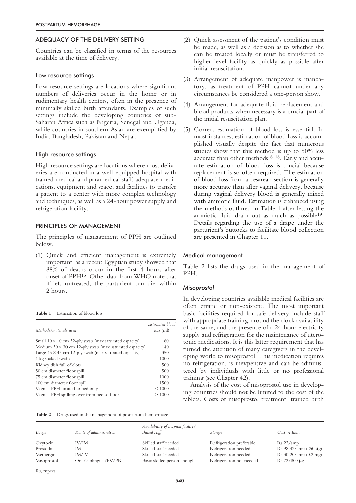# ADEQUACY OF THE DELIVERY SETTING

Countries can be classified in terms of the resources available at the time of delivery.

## Low resource settings

Low resource settings are locations where significant numbers of deliveries occur in the home or in rudimentary health centers, often in the presence of minimally skilled birth attendants. Examples of such settings include the developing countries of sub-Saharan Africa such as Nigeria, Senegal and Uganda, while countries in southern Asian are exemplified by India, Bangladesh, Pakistan and Nepal.

## High resource settings

High resource settings are locations where most deliveries are conducted in a well-equipped hospital with trained medical and paramedical staff, adequate medications, equipment and space, and facilities to transfer a patient to a center with more complex technology and techniques, as well as a 24-hour power supply and refrigeration facility.

## PRINCIPLES OF MANAGEMENT

The principles of management of PPH are outlined below.

(1) Quick and efficient management is extremely important, as a recent Egyptian study showed that 88% of deaths occur in the first 4 hours after onset of PPH15. Other data from WHO note that if left untreated, the parturient can die within 2 hours.

**Table 1** Estimation of blood loss

| Methods/materials used                                        | Estimated blood<br>$loss$ (ml) |
|---------------------------------------------------------------|--------------------------------|
| Small $10 \times 10$ cm 32-ply swab (max saturated capacity)  | 60                             |
| Medium $30 \times 30$ cm 12-ply swab (max saturated capacity) | 140                            |
| Large $45 \times 45$ cm 12-ply swab (max saturated capacity)  | 350                            |
| 1 kg soaked swabs                                             | 1000                           |
| Kidney dish full of clots                                     | 500                            |
| 50 cm diameter floor spill                                    | 500                            |
| 75 cm diameter floor spill                                    | 1000                           |
| 100 cm diameter floor spill                                   | 1500                           |
| Vaginal PPH limited to bed only                               | < 1000                         |
| Vaginal PPH spilling over from bed to floor                   | >1000                          |

| Table 2 |  | Drugs used in the management of postpartum hemorrhage |  |
|---------|--|-------------------------------------------------------|--|
|         |  |                                                       |  |

- (2) Quick assessment of the patient's condition must be made, as well as a decision as to whether she can be treated locally or must be transferred to higher level facility as quickly as possible after initial resuscitation.
- (3) Arrangement of adequate manpower is mandatory, as treatment of PPH cannot under any circumstances be considered a one-person show.
- (4) Arrangement for adequate fluid replacement and blood products when necessary is a crucial part of the initial resuscitation plan.
- (5) Correct estimation of blood loss is essential. In most instances, estimation of blood loss is accomplished visually despite the fact that numerous studies show that this method is up to 50% less accurate than other methods $16-18$ . Early and accurate estimation of blood loss is crucial because replacement is so often required. The estimation of blood loss from a cesarean section is generally more accurate than after vaginal delivery, because during vaginal delivery blood is generally mixed with amniotic fluid. Estimation is enhanced using the methods outlined in Table 1 after letting the amniotic fluid drain out as much as possible<sup>19</sup>. Details regarding the use of a drape under the parturient's buttocks to facilitate blood collection are presented in Chapter 11.

## Medical management

Table 2 lists the drugs used in the management of PPH.

#### *Misoprostol*

In developing countries available medical facilities are often erratic or non-existent. The most important basic facilities required for safe delivery include staff with appropriate training, around the clock availability of the same, and the presence of a 24-hour electricity supply and refrigeration for the maintenance of uterotonic medications. It is this latter requirement that has turned the attention of many caregivers in the developing world to misoprostol. This medication requires no refrigeration, is inexpensive and can be administered by individuals with little or no professional training (see Chapter 42).

Analysis of the cost of misoprostol use in developing countries should not be limited to the cost of the tablets. Costs of misoprostol treatment, trained birth

| Drugs                    | Route of administration        | Availability of hospital facility/<br>skilled staff | Storage                                          | Cost in India                              |
|--------------------------|--------------------------------|-----------------------------------------------------|--------------------------------------------------|--------------------------------------------|
| Oxytocin                 | IV/IM                          | Skilled staff needed                                | Refrigeration preferable                         | Rs 22/amp                                  |
| Prostodin                | IМ                             | Skilled staff needed                                | Refrigeration needed                             | Rs $98.42/amp(250 \mu g)$                  |
| Methergin<br>Misoprostol | IM/IV<br>Oral/sublingual/PV/PR | Skilled staff needed<br>Basic skilled person enough | Refrigeration needed<br>Refrigeration not needed | Rs 30.20/amp (0.2 mg)<br>$Rs 72/800 \mu g$ |

Rs, rupees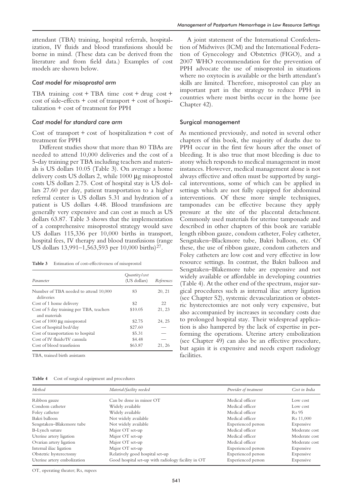attendant (TBA) training, hospital referrals, hospitalization, IV fluids and blood transfusions should be borne in mind. (These data can be derived from the literature and from field data.) Examples of cost models are shown below.

### *Cost model for misoprostol arm*

TBA training  $cost + TBA$  time  $cost + drug \ cost +$ cost of side-effects + cost of transport + cost of hospitalization + cost of treatment for PPH

## *Cost model for standard care arm*

Cost of transport + cost of hospitalization + cost of treatment for PPH

Different studies show that more than 80 TBAs are needed to attend 10,000 deliveries and the cost of a 5-day training per TBA including teachers and materials is US dollars 10.05 (Table 3). On average a home delivery costs US dollars 2, while 1000 µg misoprostol costs US dollars 2.75. Cost of hospital stay is US dollars 27.60 per day, patient transportation to a higher referral center is US dollars 5.31 and hydration of a patient is US dollars 4.48. Blood transfusions are generally very expensive and can cost as much as US dollars 63.87. Table 3 shows that the implementation of a comprehensive misoprostol strategy would save US dollars 115,336 per 10,000 births in transport, hospital fees, IV therapy and blood transfusions (range US dollars 13,991–1,563,593 per 10,000 births)<sup>27</sup>.

**Table 3** Estimation of cost-effectiveness of misoprostol

| Parameter                                                 | Quantity/cost<br>(US dollars) | References |
|-----------------------------------------------------------|-------------------------------|------------|
| Number of TBA needed to attend 10,000<br>deliveries       | 83                            | 20, 21     |
| Cost of 1 home delivery                                   | \$2                           | 22         |
| Cost of 5 day training per TBA, teachers<br>and materials | \$10.05                       | 21, 23     |
| Cost of $1000 \mu$ g misoprostol                          | \$2.75                        | 24, 25     |
| Cost of hospital bed/day                                  | \$27.60                       |            |
| Cost of transportation to hospital                        | \$5.31                        |            |
| Cost of IV fluids/IV cannula                              | \$4.48                        |            |
| Cost of blood transfusion                                 | \$63.87                       | 21, 26     |

TBA, trained birth assistants

| Table 4 | Cost of surgical equipment and procedures |  |  |
|---------|-------------------------------------------|--|--|
|---------|-------------------------------------------|--|--|

A joint statement of the International Confederation of Midwives (ICM) and the International Federation of Gynecology and Obstetrics (FIGO), and a 2007 WHO recommendation for the prevention of PPH advocate the use of misoprostol in situations where no oxytocin is available or the birth attendant's skills are limited. Therefore, misoprostol can play an important part in the strategy to reduce PPH in countries where most births occur in the home (see Chapter 42).

# Surgical management

As mentioned previously, and noted in several other chapters of this book, the majority of deaths due to PPH occur in the first few hours after the onset of bleeding. It is also true that most bleeding is due to atony which responds to medical management in most instances. However, medical management alone is not always effective and often must be supported by surgical interventions, some of which can be applied in settings which are not fully equipped for abdominal interventions. Of these more simple techniques, tamponades can be effective because they apply pressure at the site of the placental detachment. Commonly used materials for uterine tamponade and described in other chapters of this book are variable length ribbon gauze, condom catheter, Foley catheter, Sengstaken–Blackmore tube, Bakri balloon, etc. Of these, the use of ribbon gauze, condom catheters and Foley catheters are low cost and very effective in low resource settings. In contrast, the Bakri balloon and Sengstaken–Blakemore tube are expensive and not widely available or affordable in developing countries (Table 4). At the other end of the spectrum, major surgical procedures such as internal iliac artery ligation (see Chapter 52), systemic devascularization or obstetric hysterectomies are not only very expensive, but also accompanied by increases in secondary costs due to prolonged hospital stay. Their widespread application is also hampered by the lack of expertise in performing the operations. Uterine artery embolization (see Chapter 49) can also be an effective procedure, but again it is expensive and needs expert radiology facilities.

| Method                      | Material/facility needed                           | Provider of treatment | Cost in India         |
|-----------------------------|----------------------------------------------------|-----------------------|-----------------------|
| Ribbon gauze                | Can be done in minor OT                            | Medical officer       | Low cost              |
| Condom catheter             | Widely available                                   | Medical officer       | Low cost              |
| Foley catheter              | Widely available                                   | Medical officer       | R <sub>s</sub> 95     |
| Bakri balloon               | Not widely available                               | Medical officer       | R <sub>s</sub> 11,000 |
| Sengstaken-Blakemore tube   | Not widely available                               | Experienced person    | Expensive             |
| B-Lynch suture              | Major OT set-up                                    | Medical officer       | Moderate cost         |
| Uterine artery ligation     | Major OT set-up                                    | Medical officer       | Moderate cost         |
| Ovarian artery ligation     | Major OT set-up                                    | Medical officer       | Moderate cost         |
| Internal iliac ligation     | Major OT set-up                                    | Experienced person    | Expensive             |
| Obstetric hysterectomy      | Relatively good hospital set-up                    | Experienced person    | Expensive             |
| Uterine artery embolization | Good hospital set-up with radiology facility in OT | Experienced person    | Expensive             |

OT, operating theater; Rs, rupees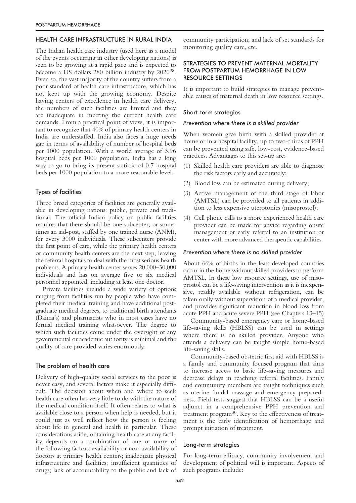## HEALTH CARE INFRASTRUCTURE IN RURAL INDIA

The Indian health care industry (used here as a model of the events occurring in other developing nations) is seen to be growing at a rapid pace and is expected to become a US dollars 280 billion industry by 202028. Even so, the vast majority of the country suffers from a poor standard of health care infrastructure, which has not kept up with the growing economy. Despite having centers of excellence in health care delivery, the numbers of such facilities are limited and they are inadequate in meeting the current health care demands. From a practical point of view, it is important to recognize that 40% of primary health centers in India are understaffed. India also faces a huge needs gap in terms of availability of number of hospital beds per 1000 population. With a world average of 3.96 hospital beds per 1000 population, India has a long way to go to bring its present statistic of 0.7 hospital beds per 1000 population to a more reasonable level.

## Types of facilities

Three broad categories of facilities are generally available in developing nations: public, private and traditional. The official Indian policy on public facilities requires that there should be one subcenter, or sometimes an aid-post, staffed by one trained nurse (ANM), for every 3000 individuals. These subcenters provide the first point of care, while the primary health centers or community health centers are the next step, leaving the referral hospitals to deal with the most serious health problems. A primary health center serves 20,000–30,000 individuals and has on average five or six medical personnel appointed, including at least one doctor.

Private facilities include a wide variety of options ranging from facilities run by people who have completed their medical training and have additional postgraduate medical degrees, to traditional birth attendants (Daima's) and pharmacists who in most cases have no formal medical training whatsoever. The degree to which such facilities come under the oversight of any governmental or academic authority is minimal and the quality of care provided varies enormously.

## The problem of health care

Delivery of high-quality social services to the poor is never easy, and several factors make it especially difficult. The decision about when and where to seek health care often has very little to do with the nature of the medical condition itself. It often relates to what is available close to a person when help is needed, but it could just as well reflect how the person is feeling about life in general and health in particular. These considerations aside, obtaining health care at any facility depends on a combination of one or more of the following factors: availability or non-availability of doctors at primary health centers; inadequate physical infrastructure and facilities; insufficient quantities of drugs; lack of accountability to the public and lack of community participation; and lack of set standards for monitoring quality care, etc.

# STRATEGIES TO PREVENT MATERNAL MORTALITY FROM POSTPARTUM HEMORRHAGE IN LOW RESOURCE SETTINGS

It is important to build strategies to manage preventable causes of maternal death in low resource settings.

#### Short-term strategies

## *Prevention where there is a skilled provider*

When women give birth with a skilled provider at home or in a hospital facility, up to two-thirds of PPH can be prevented using safe, low-cost, evidence-based practices. Advantages to this set-up are:

- (1) Skilled health care providers are able to diagnose the risk factors early and accurately;
- (2) Blood loss can be estimated during delivery;
- (3) Active management of the third stage of labor (AMTSL) can be provided to all patients in addition to less expensive uterotonics (misoprostol);
- (4) Cell phone calls to a more experienced health care provider can be made for advice regarding onsite management or early referral to an institution or center with more advanced therapeutic capabilities.

#### *Prevention where there is no skilled provider*

About 66% of births in the least developed countries occur in the home without skilled providers to perform AMTSL. In these low resource settings, use of misoprostol can be a life-saving intervention as it is inexpensive, readily available without refrigeration, can be taken orally without supervision of a medical provider, and provides significant reduction in blood loss from acute PPH and acute severe PPH (see Chapters 13–15)

Community-based emergency care or home-based life-saving skills (HBLSS) can be used in settings where there is no skilled provider. Anyone who attends a delivery can be taught simple home-based life-saving skills.

Community-based obstetric first aid with HBLSS is a family and community focused program that aims to increase access to basic life-saving measures and decrease delays in reaching referral facilities. Family and community members are taught techniques such as uterine fundal massage and emergency preparedness. Field tests suggest that HBLSS can be a useful adjunct in a comprehensive PPH prevention and treatment program30. Key to the effectiveness of treatment is the early identification of hemorrhage and prompt initiation of treatment.

#### Long-term strategies

For long-term efficacy, community involvement and development of political will is important. Aspects of such programs include: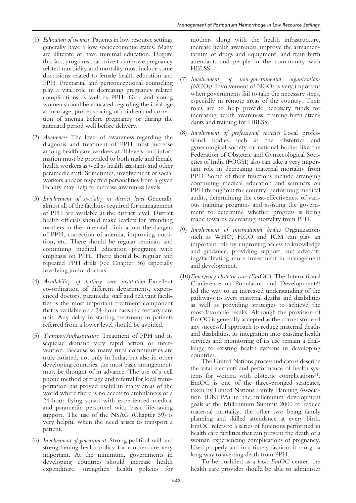- (1) *Education of women* Patients in low resource settings generally have a low socioeconomic status. Many are illiterate or have minimal education. Despite this fact, programs that strive to improve pregnancy related morbidity and mortality must include some discussions related to female health education and PPH. Premarital and periconceptional counseling play a vital role in decreasing pregnancy related complications as well as PPH. Girls and young women should be educated regarding the ideal age at marriage, proper spacing of children and correction of anemia before pregnancy or during the antenatal period well before delivery.
- (2) *Awareness* The level of awareness regarding the diagnosis and treatment of PPH must increase among health care workers at all levels, and information must be provided to both male and female health workers as well as health assistants and other paramedic staff. Sometimes, involvement of social workers and/or respected personalities from a given locality may help to increase awareness levels.
- (3) *Involvement of specialty in district level* Generally almost all of the facilities required for management of PPH are available at the district level. District health officials should make leaflets for attending mothers in the antenatal clinic about the dangers of PPH, correction of anemia, improving nutrition, etc. There should be regular seminars and continuing medical education programs with emphasis on PPH. There should be regular and repeated PPH drills (see Chapter 36) especially involving junior doctors.
- (4) *Availability of tertiary care institution* Excellent co-ordination of different departments, experienced doctors, paramedic staff and relevant facilities is the most important treatment component that is available on a 24-hour basis in a tertiary care unit. Any delay in starting treatment in patients referred from a lower level should be avoided.
- (5) *Transport/infrastructure* Treatment of PPH and its sequelae demand very rapid action or intervention. Because so many rural communities are truly isolated, not only in India, but also in other developing countries, the most basic arrangements must be thought of in advance. The use of a cell phone method of triage and referral for local transportation has proved useful in many areas of the world where there is no access to ambulances or a 24-hour flying squad with experienced medical and paramedic personnel with basic life-saving support. The use of the NSAG (Chapter 39) is very helpful when the need arises to transport a patient.
- (6) *Involvement of government* Strong political will and strengthening health policy for mothers are very important. At the minimum, governments in developing countries should increase health expenditure, strengthen health policies for

mothers along with the health infrastructure, increase health awareness, improve the armamentarium of drugs and equipment, and train birth attendants and people in the community with HBLSS.

- (7) *Involvement of non-governmental organizations (NGOs)* Involvement of NGOs is very important when governments fail to take the necessary steps, especially in remote areas of the country. Their roles are to help provide necessary funds for increasing health awareness, training birth attendants and training for HBLSS.
- (8) *Involvement of professional societies* Local professional bodies such as the obstetrics and gynecological society or national bodies like the Federation of Obstetric and Gynaecological Societies of India (FOGSI) also can take a very important role in decreasing maternal mortality from PPH. Some of their functions include arranging continuing medical education and seminars on PPH throughout the country, performing medical audits, determining the cost-effectiveness of various training programs and assisting the government to determine whether progress is being made towards decreasing mortality from PPH.
- (9) *Involvement of international bodies* Organizations such as WHO, FIGO and ICM can play an important role by improving access to knowledge and guidance, providing support, and advocating/facilitating more investment in management and development.
- (10)*Emergency obstetric care (EmOC)* The International Conference on Population and Development<sup>31</sup> led the way to an increased understanding of the pathways to avert maternal deaths and disabilities as well as providing strategies to achieve the most favorable results. Although the provision of EmOC is generally accepted as the corner stone of any successful approach to reduce maternal deaths and disabilities, its integration into existing health services and monitoring of its use remain a challenge to existing health systems in developing countries.

The United Nations process indicators describe the vital elements and performance of health systems for women with obstetric complications<sup>31</sup>. EmOC is one of the three-pronged strategies, taken by United Nations Family Planning Association (UNFPA) in the millennium development goals at the Millennium Summit 2000 to reduce maternal mortality, the other two being family planning and skilled attendance at every birth. EmOC refers to a series of functions performed in health care facilities that can prevent the death of a woman experiencing complications of pregnancy. Used properly and in a timely fashion, it can go a long way to averting death from PPH.

To be qualified as a *basic EmOC* center, the health care provider should be able to administer